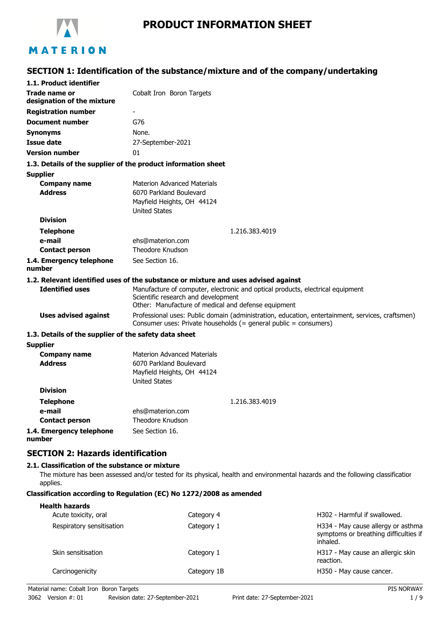

# **PRODUCT INFORMATION SHEET**

# **SECTION 1: Identification of the substance/mixture and of the company/undertaking**

| 1.1. Product identifier                               |                                                                                                                                                                        |  |
|-------------------------------------------------------|------------------------------------------------------------------------------------------------------------------------------------------------------------------------|--|
| Trade name or                                         | Cobalt Iron Boron Targets                                                                                                                                              |  |
| designation of the mixture                            |                                                                                                                                                                        |  |
| <b>Registration number</b>                            |                                                                                                                                                                        |  |
| <b>Document number</b>                                | G76                                                                                                                                                                    |  |
| <b>Synonyms</b>                                       | None.                                                                                                                                                                  |  |
| <b>Issue date</b>                                     | 27-September-2021                                                                                                                                                      |  |
| <b>Version number</b>                                 | 01                                                                                                                                                                     |  |
|                                                       | 1.3. Details of the supplier of the product information sheet                                                                                                          |  |
| <b>Supplier</b>                                       |                                                                                                                                                                        |  |
| <b>Company name</b>                                   | <b>Materion Advanced Materials</b>                                                                                                                                     |  |
| <b>Address</b>                                        | 6070 Parkland Boulevard                                                                                                                                                |  |
|                                                       | Mayfield Heights, OH 44124                                                                                                                                             |  |
|                                                       | <b>United States</b>                                                                                                                                                   |  |
| <b>Division</b>                                       |                                                                                                                                                                        |  |
| <b>Telephone</b>                                      | 1.216.383.4019                                                                                                                                                         |  |
| e-mail                                                | ehs@materion.com<br><b>Theodore Knudson</b>                                                                                                                            |  |
| <b>Contact person</b>                                 |                                                                                                                                                                        |  |
| 1.4. Emergency telephone<br>number                    | See Section 16.                                                                                                                                                        |  |
|                                                       | 1.2. Relevant identified uses of the substance or mixture and uses advised against                                                                                     |  |
| <b>Identified uses</b>                                | Manufacture of computer, electronic and optical products, electrical equipment                                                                                         |  |
|                                                       | Scientific research and development                                                                                                                                    |  |
|                                                       | Other: Manufacture of medical and defense equipment                                                                                                                    |  |
| <b>Uses advised against</b>                           | Professional uses: Public domain (administration, education, entertainment, services, craftsmen)<br>Consumer uses: Private households $(=$ general public = consumers) |  |
| 1.3. Details of the supplier of the safety data sheet |                                                                                                                                                                        |  |
| <b>Supplier</b>                                       |                                                                                                                                                                        |  |
| <b>Company name</b>                                   | <b>Materion Advanced Materials</b>                                                                                                                                     |  |
| <b>Address</b>                                        | 6070 Parkland Boulevard                                                                                                                                                |  |
|                                                       | Mayfield Heights, OH 44124                                                                                                                                             |  |
| <b>Division</b>                                       | <b>United States</b>                                                                                                                                                   |  |
|                                                       |                                                                                                                                                                        |  |
| <b>Telephone</b>                                      | 1.216.383.4019                                                                                                                                                         |  |
| e-mail<br><b>Contact person</b>                       | ehs@materion.com<br><b>Theodore Knudson</b>                                                                                                                            |  |
|                                                       | See Section 16.                                                                                                                                                        |  |
| 1.4. Emergency telephone<br>number                    |                                                                                                                                                                        |  |
| <b>SECTION 2: Hazards identification</b>              |                                                                                                                                                                        |  |
| 2.1. Classification of the substance or mixture       |                                                                                                                                                                        |  |

The mixture has been assessed and/or tested for its physical, health and environmental hazards and the following classification applies.

#### **Classification according to Regulation (EC) No 1272/2008 as amended**

| <b>Health hazards</b><br>Acute toxicity, oral | Category 4  | H302 - Harmful if swallowed.                                                            |
|-----------------------------------------------|-------------|-----------------------------------------------------------------------------------------|
| Respiratory sensitisation                     | Category 1  | H334 - May cause allergy or asthma<br>symptoms or breathing difficulties if<br>inhaled. |
| Skin sensitisation                            | Category 1  | H317 - May cause an allergic skin<br>reaction.                                          |
| Carcinogenicity                               | Category 1B | H350 - May cause cancer.                                                                |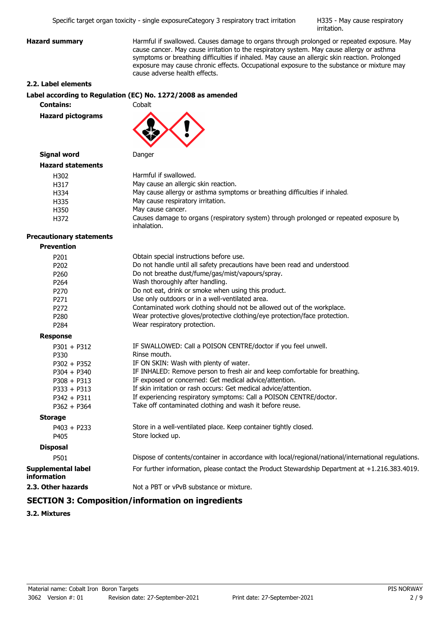H335 - May cause respiratory irritation.

**Hazard summary Harmful if swallowed. Causes damage to organs through prolonged or repeated exposure. May** cause cancer. May cause irritation to the respiratory system. May cause allergy or asthma symptoms or breathing difficulties if inhaled. May cause an allergic skin reaction. Prolonged exposure may cause chronic effects. Occupational exposure to the substance or mixture may cause adverse health effects.

#### **2.2. Label elements**

#### **Label according to Regulation (EC) No. 1272/2008 as amended**

**Contains:** Cobalt

**Hazard pictograms**



# **Signal word** Danger

| <b>Hazard statements</b> |                                                                                                       |
|--------------------------|-------------------------------------------------------------------------------------------------------|
| H302                     | Harmful if swallowed.                                                                                 |
| H317                     | May cause an allergic skin reaction.                                                                  |
| H334                     | May cause allergy or asthma symptoms or breathing difficulties if inhaled.                            |
| H335                     | May cause respiratory irritation.                                                                     |
| H350                     | May cause cancer.                                                                                     |
| H372                     | Causes damage to organs (respiratory system) through prolonged or repeated exposure by<br>inhalation. |

#### **Precautionary statements**

| <b>Prevention</b> |
|-------------------|
|-------------------|

| P <sub>201</sub>                                | Obtain special instructions before use.                                                             |
|-------------------------------------------------|-----------------------------------------------------------------------------------------------------|
| P <sub>202</sub>                                | Do not handle until all safety precautions have been read and understood.                           |
| P260                                            | Do not breathe dust/fume/gas/mist/vapours/spray.                                                    |
| P <sub>264</sub>                                | Wash thoroughly after handling.                                                                     |
| P270                                            | Do not eat, drink or smoke when using this product.                                                 |
| P <sub>271</sub>                                | Use only outdoors or in a well-ventilated area.                                                     |
| P <sub>272</sub>                                | Contaminated work clothing should not be allowed out of the workplace.                              |
| P <sub>280</sub>                                | Wear protective gloves/protective clothing/eye protection/face protection.                          |
| P <sub>284</sub>                                | Wear respiratory protection.                                                                        |
| <b>Response</b>                                 |                                                                                                     |
| $P301 + P312$                                   | IF SWALLOWED: Call a POISON CENTRE/doctor if you feel unwell.                                       |
| P330                                            | Rinse mouth.                                                                                        |
| $P302 + P352$                                   | IF ON SKIN: Wash with plenty of water.                                                              |
| $P304 + P340$                                   | IF INHALED: Remove person to fresh air and keep comfortable for breathing.                          |
| $P308 + P313$                                   | IF exposed or concerned: Get medical advice/attention.                                              |
| $P333 + P313$                                   | If skin irritation or rash occurs: Get medical advice/attention.                                    |
| $P342 + P311$                                   | If experiencing respiratory symptoms: Call a POISON CENTRE/doctor.                                  |
| $P362 + P364$                                   | Take off contaminated clothing and wash it before reuse.                                            |
| <b>Storage</b>                                  |                                                                                                     |
| $P403 + P233$                                   | Store in a well-ventilated place. Keep container tightly closed.                                    |
| P405                                            | Store locked up.                                                                                    |
| <b>Disposal</b>                                 |                                                                                                     |
| P501                                            | Dispose of contents/container in accordance with local/regional/national/international regulations. |
| <b>Supplemental label</b><br><b>information</b> | For further information, please contact the Product Stewardship Department at +1.216.383.4019.      |
| 2.3. Other hazards                              | Not a PBT or vPvB substance or mixture.                                                             |

# **SECTION 3: Composition/information on ingredients**

**3.2. Mixtures**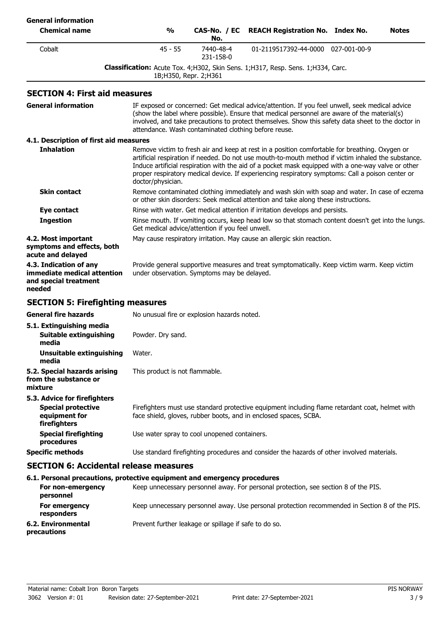| <b>General information</b>                                                                 |                                                                                                                                                                                     |                                                      |                                                                                                                                                                                                                                                                                                                                                                                                                 |              |
|--------------------------------------------------------------------------------------------|-------------------------------------------------------------------------------------------------------------------------------------------------------------------------------------|------------------------------------------------------|-----------------------------------------------------------------------------------------------------------------------------------------------------------------------------------------------------------------------------------------------------------------------------------------------------------------------------------------------------------------------------------------------------------------|--------------|
| <b>Chemical name</b>                                                                       | $\frac{0}{0}$                                                                                                                                                                       | CAS-No. / EC<br>No.                                  | <b>REACH Registration No. Index No.</b>                                                                                                                                                                                                                                                                                                                                                                         | <b>Notes</b> |
| Cobalt                                                                                     | $45 - 55$                                                                                                                                                                           | 7440-48-4<br>231-158-0                               | 01-2119517392-44-0000 027-001-00-9                                                                                                                                                                                                                                                                                                                                                                              |              |
|                                                                                            |                                                                                                                                                                                     | 1B; H350, Repr. 2; H361                              | Classification: Acute Tox. 4; H302, Skin Sens. 1; H317, Resp. Sens. 1; H334, Carc.                                                                                                                                                                                                                                                                                                                              |              |
| <b>SECTION 4: First aid measures</b>                                                       |                                                                                                                                                                                     |                                                      |                                                                                                                                                                                                                                                                                                                                                                                                                 |              |
| <b>General information</b>                                                                 |                                                                                                                                                                                     | attendance. Wash contaminated clothing before reuse. | IF exposed or concerned: Get medical advice/attention. If you feel unwell, seek medical advice<br>(show the label where possible). Ensure that medical personnel are aware of the material(s)<br>involved, and take precautions to protect themselves. Show this safety data sheet to the doctor in                                                                                                             |              |
| 4.1. Description of first aid measures                                                     |                                                                                                                                                                                     |                                                      |                                                                                                                                                                                                                                                                                                                                                                                                                 |              |
| <b>Inhalation</b>                                                                          | doctor/physician.                                                                                                                                                                   |                                                      | Remove victim to fresh air and keep at rest in a position comfortable for breathing. Oxygen or<br>artificial respiration if needed. Do not use mouth-to-mouth method if victim inhaled the substance.<br>Induce artificial respiration with the aid of a pocket mask equipped with a one-way valve or other<br>proper respiratory medical device. If experiencing respiratory symptoms: Call a poison center or |              |
| <b>Skin contact</b>                                                                        | Remove contaminated clothing immediately and wash skin with soap and water. In case of eczema<br>or other skin disorders: Seek medical attention and take along these instructions. |                                                      |                                                                                                                                                                                                                                                                                                                                                                                                                 |              |
| Eye contact                                                                                |                                                                                                                                                                                     |                                                      | Rinse with water. Get medical attention if irritation develops and persists.                                                                                                                                                                                                                                                                                                                                    |              |
| <b>Ingestion</b>                                                                           |                                                                                                                                                                                     | Get medical advice/attention if you feel unwell.     | Rinse mouth. If vomiting occurs, keep head low so that stomach content doesn't get into the lungs.                                                                                                                                                                                                                                                                                                              |              |
| 4.2. Most important<br>symptoms and effects, both<br>acute and delayed                     |                                                                                                                                                                                     |                                                      | May cause respiratory irritation. May cause an allergic skin reaction.                                                                                                                                                                                                                                                                                                                                          |              |
| 4.3. Indication of any<br>immediate medical attention<br>and special treatment<br>needed   |                                                                                                                                                                                     | under observation. Symptoms may be delayed.          | Provide general supportive measures and treat symptomatically. Keep victim warm. Keep victim                                                                                                                                                                                                                                                                                                                    |              |
| <b>SECTION 5: Firefighting measures</b>                                                    |                                                                                                                                                                                     |                                                      |                                                                                                                                                                                                                                                                                                                                                                                                                 |              |
| <b>General fire hazards</b>                                                                |                                                                                                                                                                                     | No unusual fire or explosion hazards noted.          |                                                                                                                                                                                                                                                                                                                                                                                                                 |              |
| 5.1. Extinguishing media<br><b>Suitable extinguishing</b><br>media                         | Powder. Dry sand.                                                                                                                                                                   |                                                      |                                                                                                                                                                                                                                                                                                                                                                                                                 |              |
| <b>Unsuitable extinguishing</b><br>media                                                   | Water.                                                                                                                                                                              |                                                      |                                                                                                                                                                                                                                                                                                                                                                                                                 |              |
| 5.2. Special hazards arising<br>from the substance or<br>mixture                           | This product is not flammable.                                                                                                                                                      |                                                      |                                                                                                                                                                                                                                                                                                                                                                                                                 |              |
| 5.3. Advice for firefighters<br><b>Special protective</b><br>equipment for<br>firefighters |                                                                                                                                                                                     |                                                      | Firefighters must use standard protective equipment including flame retardant coat, helmet with<br>face shield, gloves, rubber boots, and in enclosed spaces, SCBA.                                                                                                                                                                                                                                             |              |
| <b>Special firefighting</b><br>procedures                                                  |                                                                                                                                                                                     | Use water spray to cool unopened containers.         |                                                                                                                                                                                                                                                                                                                                                                                                                 |              |
| <b>Specific methods</b>                                                                    |                                                                                                                                                                                     |                                                      | Use standard firefighting procedures and consider the hazards of other involved materials.                                                                                                                                                                                                                                                                                                                      |              |
| <b>SECTION 6: Accidental release measures</b>                                              |                                                                                                                                                                                     |                                                      |                                                                                                                                                                                                                                                                                                                                                                                                                 |              |
| 6.1. Personal precautions, protective equipment and emergency procedures                   |                                                                                                                                                                                     |                                                      |                                                                                                                                                                                                                                                                                                                                                                                                                 |              |
| For non-emergency<br>personnel                                                             |                                                                                                                                                                                     |                                                      | Keep unnecessary personnel away. For personal protection, see section 8 of the PIS.                                                                                                                                                                                                                                                                                                                             |              |
| For emergency                                                                              |                                                                                                                                                                                     |                                                      | Keep unnecessary personnel away. Use personal protection recommended in Section 8 of the PIS.                                                                                                                                                                                                                                                                                                                   |              |

**responders 6.2. Environmental** Prevent further leakage or spillage if safe to do so. **precautions**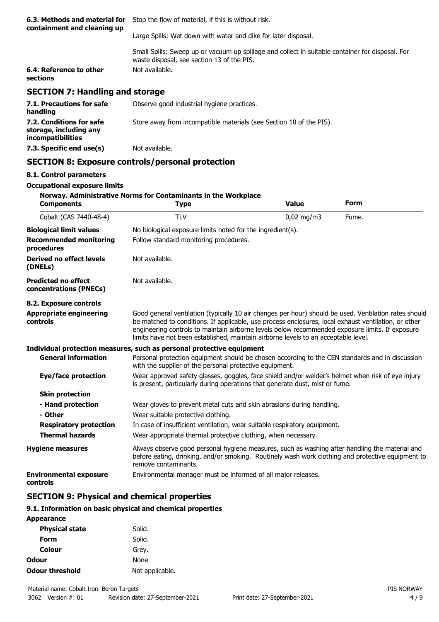| 6.3. Methods and material for<br>containment and cleaning up | Stop the flow of material, if this is without risk.                                                                                            |  |
|--------------------------------------------------------------|------------------------------------------------------------------------------------------------------------------------------------------------|--|
|                                                              | Large Spills: Wet down with water and dike for later disposal.                                                                                 |  |
|                                                              | Small Spills: Sweep up or vacuum up spillage and collect in suitable container for disposal. For<br>waste disposal, see section 13 of the PIS. |  |
| 6.4. Reference to other<br>sections                          | Not available.                                                                                                                                 |  |
| <b>SECTION 7: Handling and storage</b>                       |                                                                                                                                                |  |
| 7.1. Precautions for safe<br>handling                        | Observe good industrial hygiene practices.                                                                                                     |  |

| 7.2. Conditions for safe<br>storage, including any<br><i>incompatibilities</i> | Store away from incompatible materials (see Section 10 of the PIS). |
|--------------------------------------------------------------------------------|---------------------------------------------------------------------|
| 7.3. Specific end use(s)                                                       | Not available.                                                      |

# **SECTION 8: Exposure controls/personal protection**

#### **8.1. Control parameters**

## **Occupational exposure limits**

| <b>Components</b>                                    | Norway. Administrative Norms for Contaminants in the Workplace<br><b>Type</b>                                                                                                                                                                                                                                                                                                                          | <b>Value</b> | <b>Form</b> |  |
|------------------------------------------------------|--------------------------------------------------------------------------------------------------------------------------------------------------------------------------------------------------------------------------------------------------------------------------------------------------------------------------------------------------------------------------------------------------------|--------------|-------------|--|
| Cobalt (CAS 7440-48-4)                               | <b>TLV</b>                                                                                                                                                                                                                                                                                                                                                                                             | $0.02$ mg/m3 | Fume.       |  |
| <b>Biological limit values</b>                       | No biological exposure limits noted for the ingredient(s).                                                                                                                                                                                                                                                                                                                                             |              |             |  |
| <b>Recommended monitoring</b><br>procedures          | Follow standard monitoring procedures.                                                                                                                                                                                                                                                                                                                                                                 |              |             |  |
| Derived no effect levels<br>(DNELs)                  | Not available.                                                                                                                                                                                                                                                                                                                                                                                         |              |             |  |
| <b>Predicted no effect</b><br>concentrations (PNECs) | Not available.                                                                                                                                                                                                                                                                                                                                                                                         |              |             |  |
| 8.2. Exposure controls                               |                                                                                                                                                                                                                                                                                                                                                                                                        |              |             |  |
| <b>Appropriate engineering</b><br>controls           | Good general ventilation (typically 10 air changes per hour) should be used. Ventilation rates should<br>be matched to conditions. If applicable, use process enclosures, local exhaust ventilation, or other<br>engineering controls to maintain airborne levels below recommended exposure limits. If exposure<br>limits have not been established, maintain airborne levels to an acceptable level. |              |             |  |
|                                                      | Individual protection measures, such as personal protective equipment                                                                                                                                                                                                                                                                                                                                  |              |             |  |
| <b>General information</b>                           | Personal protection equipment should be chosen according to the CEN standards and in discussion<br>with the supplier of the personal protective equipment.                                                                                                                                                                                                                                             |              |             |  |
| Eye/face protection                                  | Wear approved safety glasses, goggles, face shield and/or welder's helmet when risk of eye injury<br>is present, particularly during operations that generate dust, mist or fume.                                                                                                                                                                                                                      |              |             |  |
| <b>Skin protection</b>                               |                                                                                                                                                                                                                                                                                                                                                                                                        |              |             |  |
| - Hand protection                                    | Wear gloves to prevent metal cuts and skin abrasions during handling.                                                                                                                                                                                                                                                                                                                                  |              |             |  |
| - Other                                              | Wear suitable protective clothing.                                                                                                                                                                                                                                                                                                                                                                     |              |             |  |
| <b>Respiratory protection</b>                        | In case of insufficient ventilation, wear suitable respiratory equipment.                                                                                                                                                                                                                                                                                                                              |              |             |  |
| <b>Thermal hazards</b>                               | Wear appropriate thermal protective clothing, when necessary.                                                                                                                                                                                                                                                                                                                                          |              |             |  |
| <b>Hygiene measures</b>                              | Always observe good personal hygiene measures, such as washing after handling the material and<br>before eating, drinking, and/or smoking. Routinely wash work clothing and protective equipment to<br>remove contaminants.                                                                                                                                                                            |              |             |  |
| <b>Environmental exposure</b><br>controls            | Environmental manager must be informed of all major releases.                                                                                                                                                                                                                                                                                                                                          |              |             |  |

## **SECTION 9: Physical and chemical properties**

#### **9.1. Information on basic physical and chemical properties**

| <b>Appearance</b>      |                 |
|------------------------|-----------------|
| <b>Physical state</b>  | Solid.          |
| Form                   | Solid.          |
| Colour                 | Grey.           |
| Odour                  | None.           |
| <b>Odour threshold</b> | Not applicable. |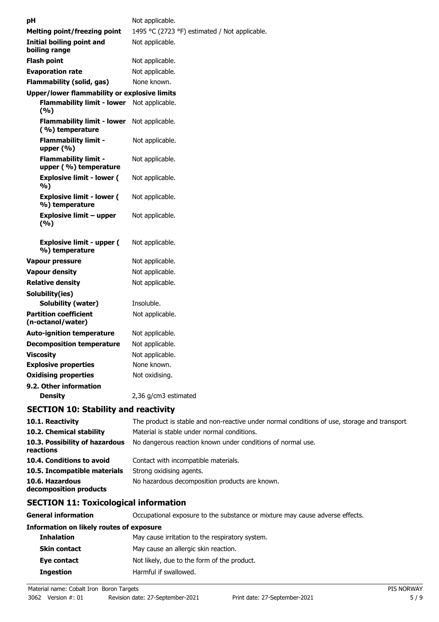| рH                                                   | Not applicable.                               |
|------------------------------------------------------|-----------------------------------------------|
| <b>Melting point/freezing point</b>                  | 1495 °C (2723 °F) estimated / Not applicable. |
| Initial boiling point and<br>boiling range           | Not applicable.                               |
| <b>Flash point</b>                                   | Not applicable.                               |
| <b>Evaporation rate</b>                              | Not applicable.                               |
| <b>Flammability (solid, gas)</b>                     | None known.                                   |
| <b>Upper/lower flammability or explosive limits</b>  |                                               |
| <b>Flammability limit - lower</b><br>(%)             | Not applicable.                               |
| <b>Flammability limit - lower</b><br>(%) temperature | Not applicable.                               |
| <b>Flammability limit -</b><br>upper $(\% )$         | Not applicable.                               |
| <b>Flammability limit -</b><br>upper (%) temperature | Not applicable.                               |
| <b>Explosive limit - lower (</b><br>%)               | Not applicable.                               |
| <b>Explosive limit - lower (</b><br>%) temperature   | Not applicable.                               |
| <b>Explosive limit - upper</b><br>(9/6)              | Not applicable.                               |
| <b>Explosive limit - upper (</b><br>%) temperature   | Not applicable.                               |
| Vapour pressure                                      | Not applicable.                               |
| <b>Vapour density</b>                                | Not applicable.                               |
| <b>Relative density</b>                              | Not applicable.                               |
| Solubility(ies)                                      |                                               |
| Solubility (water)                                   | Insoluble.                                    |
| <b>Partition coefficient</b><br>(n-octanol/water)    | Not applicable.                               |
| <b>Auto-ignition temperature</b>                     | Not applicable.                               |
| <b>Decomposition temperature</b>                     | Not applicable.                               |
| <b>Viscosity</b>                                     | Not applicable.                               |
| <b>Explosive properties</b>                          | None known.                                   |
| <b>Oxidising properties</b>                          | Not oxidising.                                |
| 9.2. Other information                               |                                               |
| <b>Density</b>                                       | 2,36 g/cm3 estimated                          |

# **SECTION 10: Stability and reactivity**

| 10.1. Reactivity                            | The product is stable and non-reactive under normal conditions of use, storage and transport. |
|---------------------------------------------|-----------------------------------------------------------------------------------------------|
| 10.2. Chemical stability                    | Material is stable under normal conditions.                                                   |
| 10.3. Possibility of hazardous<br>reactions | No dangerous reaction known under conditions of normal use.                                   |
| 10.4. Conditions to avoid                   | Contact with incompatible materials.                                                          |
| 10.5. Incompatible materials                | Strong oxidising agents.                                                                      |
| 10.6. Hazardous<br>decomposition products   | No hazardous decomposition products are known.                                                |

# **SECTION 11: Toxicological information**

**General information CCCUPATION** Occupational exposure to the substance or mixture may cause adverse effects.

#### **Information on likely routes of exposure**

| <b>Inhalation</b>   | May cause irritation to the respiratory system. |  |
|---------------------|-------------------------------------------------|--|
| <b>Skin contact</b> | May cause an allergic skin reaction.            |  |
| Eye contact         | Not likely, due to the form of the product.     |  |
| <b>Ingestion</b>    | Harmful if swallowed.                           |  |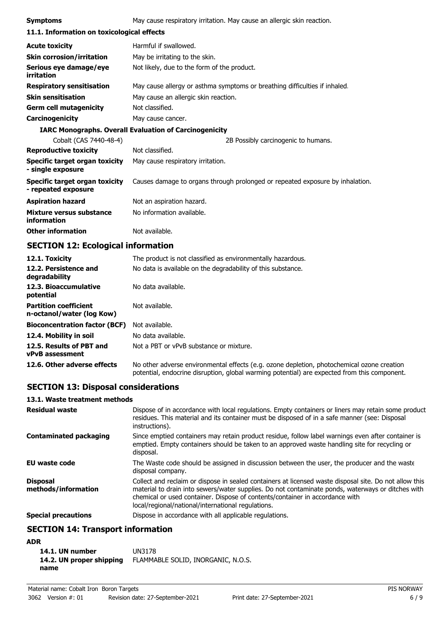| <b>Symptoms</b>                                               | May cause respiratory irritation. May cause an allergic skin reaction.        |  |
|---------------------------------------------------------------|-------------------------------------------------------------------------------|--|
| 11.1. Information on toxicological effects                    |                                                                               |  |
| <b>Acute toxicity</b>                                         | Harmful if swallowed.                                                         |  |
| <b>Skin corrosion/irritation</b>                              | May be irritating to the skin.                                                |  |
| Serious eye damage/eye<br>irritation                          | Not likely, due to the form of the product.                                   |  |
| <b>Respiratory sensitisation</b>                              | May cause allergy or asthma symptoms or breathing difficulties if inhaled.    |  |
| <b>Skin sensitisation</b>                                     | May cause an allergic skin reaction.                                          |  |
| <b>Germ cell mutagenicity</b>                                 | Not classified.                                                               |  |
| Carcinogenicity                                               | May cause cancer.                                                             |  |
| <b>IARC Monographs. Overall Evaluation of Carcinogenicity</b> |                                                                               |  |
| Cobalt (CAS 7440-48-4)                                        | 2B Possibly carcinogenic to humans.                                           |  |
| <b>Reproductive toxicity</b>                                  | Not classified.                                                               |  |
| Specific target organ toxicity<br>- single exposure           | May cause respiratory irritation.                                             |  |
| Specific target organ toxicity<br>- repeated exposure         | Causes damage to organs through prolonged or repeated exposure by inhalation. |  |
| <b>Aspiration hazard</b>                                      | Not an aspiration hazard.                                                     |  |
| Mixture versus substance<br>information                       | No information available.                                                     |  |
| <b>Other information</b>                                      | Not available.                                                                |  |

# **SECTION 12: Ecological information**

| 12.1. Toxicity                                            | The product is not classified as environmentally hazardous.                                                                                                                                |
|-----------------------------------------------------------|--------------------------------------------------------------------------------------------------------------------------------------------------------------------------------------------|
| 12.2. Persistence and<br>degradability                    | No data is available on the degradability of this substance.                                                                                                                               |
| 12.3. Bioaccumulative<br>potential                        | No data available.                                                                                                                                                                         |
| <b>Partition coefficient</b><br>n-octanol/water (log Kow) | Not available.                                                                                                                                                                             |
| <b>Bioconcentration factor (BCF)</b>                      | Not available.                                                                                                                                                                             |
| 12.4. Mobility in soil                                    | No data available.                                                                                                                                                                         |
| 12.5. Results of PBT and<br><b>vPvB</b> assessment        | Not a PBT or vPvB substance or mixture.                                                                                                                                                    |
| 12.6. Other adverse effects                               | No other adverse environmental effects (e.g. ozone depletion, photochemical ozone creation<br>potential, endocrine disruption, global warming potential) are expected from this component. |

# **SECTION 13: Disposal considerations**

### **13.1. Waste treatment methods**

| <b>Residual waste</b>                  | Dispose of in accordance with local regulations. Empty containers or liners may retain some product<br>residues. This material and its container must be disposed of in a safe manner (see: Disposal<br>instructions).                                                                                                                            |
|----------------------------------------|---------------------------------------------------------------------------------------------------------------------------------------------------------------------------------------------------------------------------------------------------------------------------------------------------------------------------------------------------|
| <b>Contaminated packaging</b>          | Since emptied containers may retain product residue, follow label warnings even after container is<br>emptied. Empty containers should be taken to an approved waste handling site for recycling or<br>disposal.                                                                                                                                  |
| <b>EU waste code</b>                   | The Waste code should be assigned in discussion between the user, the producer and the waste<br>disposal company.                                                                                                                                                                                                                                 |
| <b>Disposal</b><br>methods/information | Collect and reclaim or dispose in sealed containers at licensed waste disposal site. Do not allow this<br>material to drain into sewers/water supplies. Do not contaminate ponds, waterways or ditches with<br>chemical or used container. Dispose of contents/container in accordance with<br>local/regional/national/international regulations. |
| <b>Special precautions</b>             | Dispose in accordance with all applicable regulations.                                                                                                                                                                                                                                                                                            |

# **SECTION 14: Transport information**

### **ADR**

| 14.1. UN number          | UN3178                             |
|--------------------------|------------------------------------|
| 14.2. UN proper shipping | FLAMMABLE SOLID, INORGANIC, N.O.S. |
| name                     |                                    |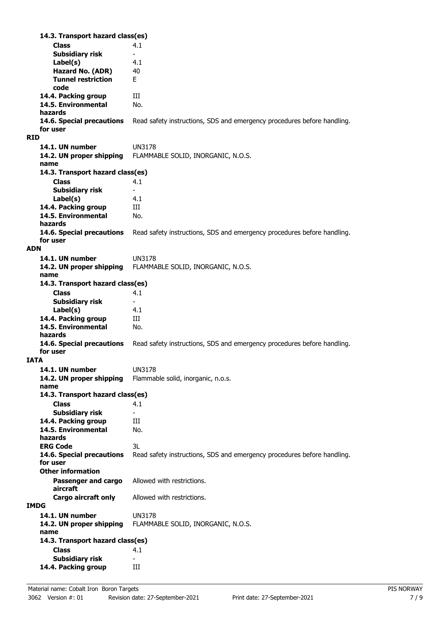**Class** 4.1 **14.3. Transport hazard class(es) Subsidiary risk Label(s)** 4.1 **Hazard No. (ADR)** 40 **Tunnel restriction** E **code 14.4. Packing group III 14.5. Environmental** No. **hazards** Read safety instructions, SDS and emergency procedures before handling. **for user RID 14.1. UN number** UN3178 **14.2. UN proper shipping** FLAMMABLE SOLID, INORGANIC, N.O.S. **name Class** 4.1 **14.3. Transport hazard class(es) Subsidiary risk Label(s)** 4.1 **14.4. Packing group III 14.5. Environmental** No. **hazards 14.6. Special precautions** Read safety instructions, SDS and emergency procedures before handling. **for user ADN 14.1. UN number** UN3178 **14.2. UN proper shipping** FLAMMABLE SOLID, INORGANIC, N.O.S. **name Class** 4.1 **14.3. Transport hazard class(es) Subsidiary risk Label(s)** 4.1 14.4. Packing group **III 14.5. Environmental** No. **hazards 14.6. Special precautions** Read safety instructions, SDS and emergency procedures before handling. **for user IATA 14.1. UN number** UN3178 **14.2. UN proper shipping** Flammable solid, inorganic, n.o.s. **name Class** 4.1 **14.3. Transport hazard class(es) Subsidiary risk 14.4. Packing group III 14.5. Environmental** No. **hazards ERG Code** 3L **14.6. Special precautions** Read safety instructions, SDS and emergency procedures before handling. **for user Passenger and cargo** Allowed with restrictions. **aircraft Other information Cargo aircraft only** Allowed with restrictions. **IMDG 14.1. UN number** UN3178 **14.2. UN proper shipping** FLAMMABLE SOLID, INORGANIC, N.O.S. **name Class** 4.1 **14.3. Transport hazard class(es) Subsidiary risk 14.4. Packing group III**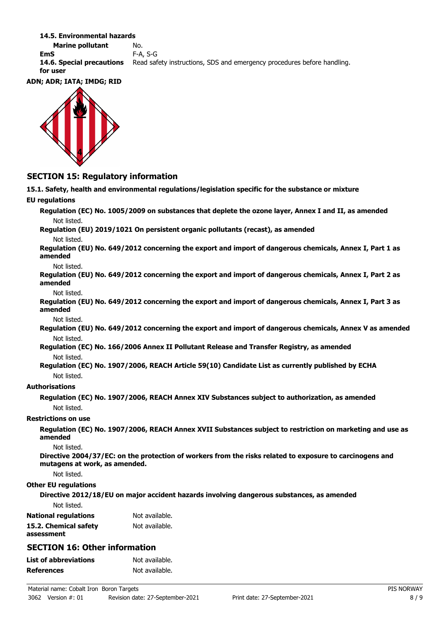#### **14.5. Environmental hazards**

**Marine pollutant** No. **EmS** F-A, S-G **14.6. Special precautions** Read safety instructions, SDS and emergency procedures before handling. **for user**

#### **ADN; ADR; IATA; IMDG; RID**



### **SECTION 15: Regulatory information**

**15.1. Safety, health and environmental regulations/legislation specific for the substance or mixture EU regulations Regulation (EC) No. 1005/2009 on substances that deplete the ozone layer, Annex I and II, as amended** Not listed. **Regulation (EU) 2019/1021 On persistent organic pollutants (recast), as amended** Not listed. **Regulation (EU) No. 649/2012 concerning the export and import of dangerous chemicals, Annex I, Part 1 as amended** Not listed. **Regulation (EU) No. 649/2012 concerning the export and import of dangerous chemicals, Annex I, Part 2 as amended** Not listed. **Regulation (EU) No. 649/2012 concerning the export and import of dangerous chemicals, Annex I, Part 3 as amended** Not listed. **Regulation (EU) No. 649/2012 concerning the export and import of dangerous chemicals, Annex V as amended** Not listed. **Regulation (EC) No. 166/2006 Annex II Pollutant Release and Transfer Registry, as amended** Not listed. **Regulation (EC) No. 1907/2006, REACH Article 59(10) Candidate List as currently published by ECHA** Not listed. **Authorisations Regulation (EC) No. 1907/2006, REACH Annex XIV Substances subject to authorization, as amended** Not listed. **Restrictions on use Regulation (EC) No. 1907/2006, REACH Annex XVII Substances subject to restriction on marketing and use as amended** Not listed. **Directive 2004/37/EC: on the protection of workers from the risks related to exposure to carcinogens and mutagens at work, as amended.** Not listed. **Other EU regulations Directive 2012/18/EU on major accident hazards involving dangerous substances, as amended** Not listed. **National regulations** Not available. **15.2. Chemical safety** Not available. **assessment SECTION 16: Other information List of abbreviations** Not available. **References** Not available.